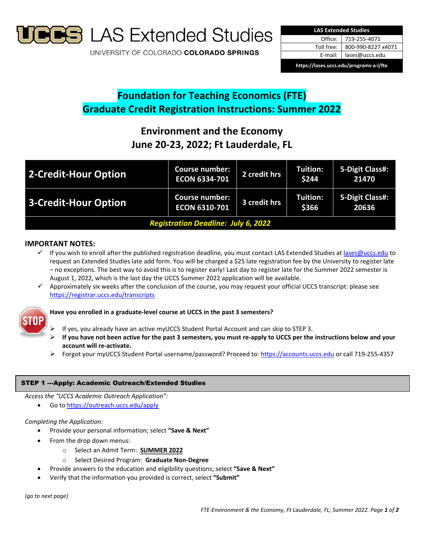

**S** LAS Extended Studies

UNIVERSITY OF COLORADO COLORADO SPRINGS



## **Foundation for Teaching Economics (FTE) Graduate Credit Registration Instructions: Summer 2022**

# **Environment and the Economy June 20‐23, 2022; Ft Lauderdale, FL**

| 2-Credit-Hour Option                       | <b>Course number:</b><br><b>ECON 6334-701</b> | 2 credit hrs | <b>Tuition:</b><br>\$244 | 5-Digit Class#:<br>21470 |
|--------------------------------------------|-----------------------------------------------|--------------|--------------------------|--------------------------|
| 3-Credit-Hour Option                       | <b>Course number:</b><br><b>ECON 6310-701</b> | 3 credit hrs | <b>Tuition:</b><br>\$366 | 5-Digit Class#:<br>20636 |
| <b>Registration Deadline: July 6, 2022</b> |                                               |              |                          |                          |

## **IMPORTANT NOTES:**

- If you wish to enroll after the published registration deadline, you must contact LAS Extended Studies at lases@uccs.edu to request an Extended Studies late add form. You will be charged a \$25 late registration fee by the University to register late – no exceptions. The best way to avoid this is to register early! Last day to register late for the Summer 2022 semester is August 1, 2022, which is the last day the UCCS Summer 2022 application will be available.
- $\checkmark$  Approximately six weeks after the conclusion of the course, you may request your official UCCS transcript: please see https://registrar.uccs.edu/transcripts



## **Have you enrolled in a graduate‐level course at UCCS in the past 3 semesters?**

- If yes, you already have an active myUCCS Student Portal Account and can skip to STEP 3.
- If you have not been active for the past 3 semesters, you must re-apply to UCCS per the instructions below and your **account will re‐activate.**
- Forgot your myUCCS Student Portal username/password? Proceed to: https://accounts.uccs.edu or call 719-255-4357

## STEP 1 ---Apply: Academic Outreach/Extended Studies

*Access the "UCCS Academic Outreach Application":*

Go to https://outreach.uccs.edu/apply

## *Completing the Application:*

- Provide your personal information; select **"Save & Next"**
- From the drop down menus:
	- o Select an Admit Term: **SUMMER 2022**
	- o Select Desired Program: **Graduate Non‐Degree**
- Provide answers to the education and eligibility questions; select **"Save & Next"**
- Verify that the information you provided is correct, select **"Submit"**

*(go to next page)*